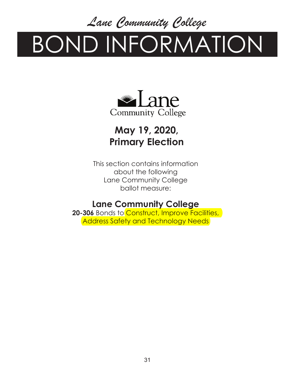*Lane Community College*

# BOND INFORMATION



## **May 19, 2020, Primary Election**

This section contains information about the following Lane Community College ballot measure:

### **Lane Community College**

20-306 Bonds to Construct, Improve Facilities, Address Safety and Technology Needs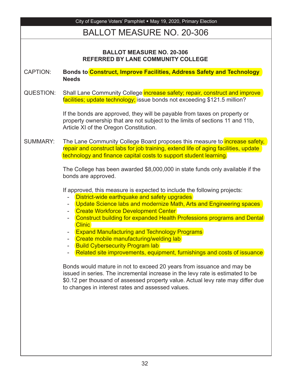| City of Eugene Voters' Pamphlet • May 19, 2020, Primary Election              |                                                                                                                                                                                                                                                                                                                                                                                                                                                                                                                                                                                                                                                                                                                                                                                                                                                                                                     |
|-------------------------------------------------------------------------------|-----------------------------------------------------------------------------------------------------------------------------------------------------------------------------------------------------------------------------------------------------------------------------------------------------------------------------------------------------------------------------------------------------------------------------------------------------------------------------------------------------------------------------------------------------------------------------------------------------------------------------------------------------------------------------------------------------------------------------------------------------------------------------------------------------------------------------------------------------------------------------------------------------|
| <b>BALLOT MEASURE NO. 20-306</b>                                              |                                                                                                                                                                                                                                                                                                                                                                                                                                                                                                                                                                                                                                                                                                                                                                                                                                                                                                     |
| <b>BALLOT MEASURE NO. 20-306</b><br><b>REFERRED BY LANE COMMUNITY COLLEGE</b> |                                                                                                                                                                                                                                                                                                                                                                                                                                                                                                                                                                                                                                                                                                                                                                                                                                                                                                     |
| <b>CAPTION:</b>                                                               | Bonds to Construct, Improve Facilities, Address Safety and Technology<br><b>Needs</b>                                                                                                                                                                                                                                                                                                                                                                                                                                                                                                                                                                                                                                                                                                                                                                                                               |
| QUESTION:                                                                     | Shall Lane Community College increase safety; repair, construct and improve<br>facilities; update technology; issue bonds not exceeding \$121.5 million?                                                                                                                                                                                                                                                                                                                                                                                                                                                                                                                                                                                                                                                                                                                                            |
|                                                                               | If the bonds are approved, they will be payable from taxes on property or<br>property ownership that are not subject to the limits of sections 11 and 11b,<br>Article XI of the Oregon Constitution.                                                                                                                                                                                                                                                                                                                                                                                                                                                                                                                                                                                                                                                                                                |
| <b>SUMMARY:</b>                                                               | The Lane Community College Board proposes this measure to <i>increase safety</i> ,<br>repair and construct labs for job training, extend life of aging facilities, update<br>technology and finance capital costs to support student learning.                                                                                                                                                                                                                                                                                                                                                                                                                                                                                                                                                                                                                                                      |
|                                                                               | The College has been awarded \$8,000,000 in state funds only available if the<br>bonds are approved.                                                                                                                                                                                                                                                                                                                                                                                                                                                                                                                                                                                                                                                                                                                                                                                                |
|                                                                               | If approved, this measure is expected to include the following projects:<br>District-wide earthquake and safety upgrades<br>Update Science labs and modernize Math, Arts and Engineering spaces<br>۰<br><b>Create Workforce Development Center</b><br>Construct building for expanded Health Professions programs and Dental<br>$\overline{\phantom{a}}$<br><b>Clinic</b><br><b>Expand Manufacturing and Technology Programs</b><br>Create mobile manufacturing/welding lab<br><b>Build Cybersecurity Program lab</b><br>Related site improvements, equipment, furnishings and costs of issuance<br>Bonds would mature in not to exceed 20 years from issuance and may be<br>issued in series. The incremental increase in the levy rate is estimated to be<br>\$0.12 per thousand of assessed property value. Actual levy rate may differ due<br>to changes in interest rates and assessed values. |
|                                                                               |                                                                                                                                                                                                                                                                                                                                                                                                                                                                                                                                                                                                                                                                                                                                                                                                                                                                                                     |